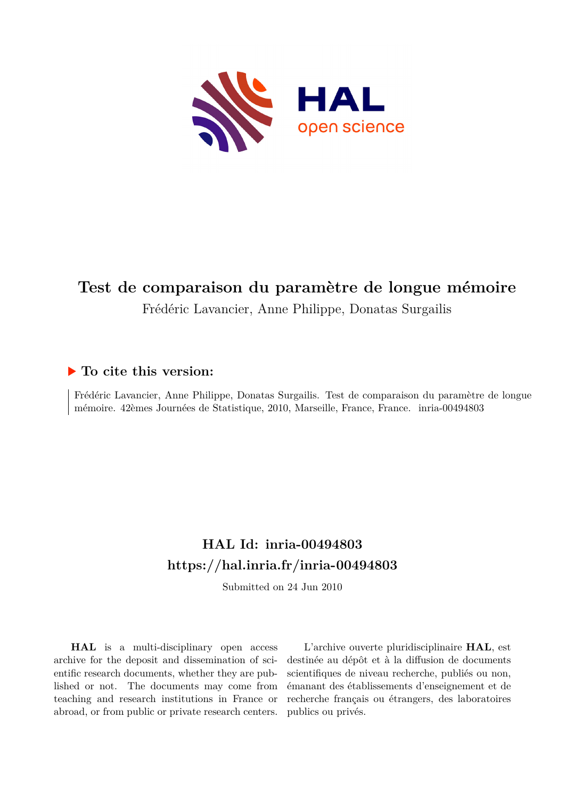

# **Test de comparaison du paramètre de longue mémoire** Frédéric Lavancier, Anne Philippe, Donatas Surgailis

### **To cite this version:**

Frédéric Lavancier, Anne Philippe, Donatas Surgailis. Test de comparaison du paramètre de longue mémoire. 42èmes Journées de Statistique, 2010, Marseille, France, France. inria-00494803

# **HAL Id: inria-00494803 <https://hal.inria.fr/inria-00494803>**

Submitted on 24 Jun 2010

**HAL** is a multi-disciplinary open access archive for the deposit and dissemination of scientific research documents, whether they are published or not. The documents may come from teaching and research institutions in France or abroad, or from public or private research centers.

L'archive ouverte pluridisciplinaire **HAL**, est destinée au dépôt et à la diffusion de documents scientifiques de niveau recherche, publiés ou non, émanant des établissements d'enseignement et de recherche français ou étrangers, des laboratoires publics ou privés.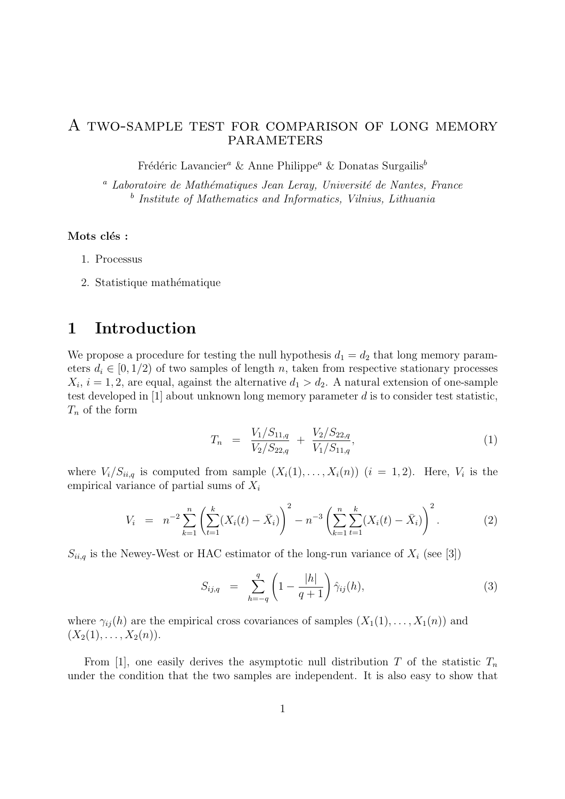#### A two-sample test for comparison of long memory **PARAMETERS**

Frédéric Lavancier<sup>a</sup> & Anne Philippe<sup>a</sup> & Donatas Surgailis<sup>b</sup>

 $a$  Laboratoire de Mathématiques Jean Leray, Université de Nantes, France <sup>b</sup> Institute of Mathematics and Informatics, Vilnius, Lithuania

#### Mots clés :

- 1. Processus
- 2. Statistique mathématique

## 1 Introduction

We propose a procedure for testing the null hypothesis  $d_1 = d_2$  that long memory parameters  $d_i \in [0, 1/2)$  of two samples of length n, taken from respective stationary processes  $X_i$ ,  $i = 1, 2$ , are equal, against the alternative  $d_1 > d_2$ . A natural extension of one-sample test developed in [1] about unknown long memory parameter d is to consider test statistic,  $T_n$  of the form

$$
T_n = \frac{V_1/S_{11,q}}{V_2/S_{22,q}} + \frac{V_2/S_{22,q}}{V_1/S_{11,q}},\tag{1}
$$

where  $V_i/S_{ii,q}$  is computed from sample  $(X_i(1),...,X_i(n))$   $(i = 1,2)$ . Here,  $V_i$  is the empirical variance of partial sums of  $X_i$ 

$$
V_i = n^{-2} \sum_{k=1}^n \left( \sum_{t=1}^k (X_i(t) - \bar{X}_i) \right)^2 - n^{-3} \left( \sum_{k=1}^n \sum_{t=1}^k (X_i(t) - \bar{X}_i) \right)^2.
$$
 (2)

 $S_{ii,q}$  is the Newey-West or HAC estimator of the long-run variance of  $X_i$  (see [3])

$$
S_{ij,q} = \sum_{h=-q}^{q} \left(1 - \frac{|h|}{q+1}\right) \hat{\gamma}_{ij}(h), \tag{3}
$$

where  $\gamma_{ii}(h)$  are the empirical cross covariances of samples  $(X_1(1), \ldots, X_1(n))$  and  $(X_2(1), \ldots, X_2(n)).$ 

From [1], one easily derives the asymptotic null distribution T of the statistic  $T_n$ under the condition that the two samples are independent. It is also easy to show that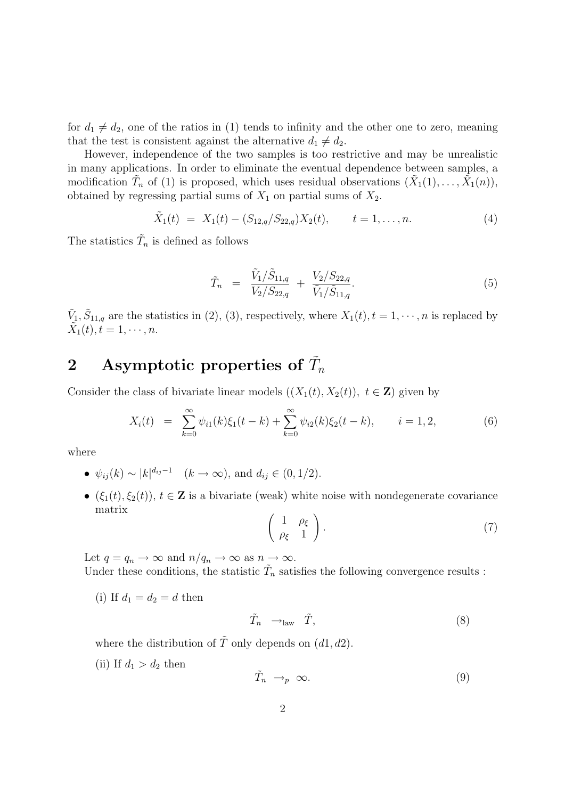for  $d_1 \neq d_2$ , one of the ratios in (1) tends to infinity and the other one to zero, meaning that the test is consistent against the alternative  $d_1 \neq d_2$ .

However, independence of the two samples is too restrictive and may be unrealistic in many applications. In order to eliminate the eventual dependence between samples, a modification  $\tilde{T}_n$  of (1) is proposed, which uses residual observations  $(\tilde{X}_1(1), \ldots, \tilde{X}_1(n)),$ obtained by regressing partial sums of  $X_1$  on partial sums of  $X_2$ .

$$
\tilde{X}_1(t) = X_1(t) - (S_{12,q}/S_{22,q})X_2(t), \qquad t = 1, ..., n.
$$
\n(4)

The statistics  $\tilde{T}_n$  is defined as follows

$$
\tilde{T}_n = \frac{\tilde{V}_1/\tilde{S}_{11,q}}{V_2/S_{22,q}} + \frac{V_2/S_{22,q}}{\tilde{V}_1/\tilde{S}_{11,q}}.
$$
\n(5)

 $\tilde{V}_1, \tilde{S}_{11,q}$  are the statistics in (2), (3), respectively, where  $X_1(t), t = 1, \dots, n$  is replaced by  $\tilde{X}_1(t), t = 1, \cdots, n.$ 

# 2 Asymptotic properties of  $\tilde{T}_n$

Consider the class of bivariate linear models  $((X_1(t), X_2(t)), t \in \mathbb{Z})$  given by

$$
X_i(t) = \sum_{k=0}^{\infty} \psi_{i1}(k)\xi_1(t-k) + \sum_{k=0}^{\infty} \psi_{i2}(k)\xi_2(t-k), \qquad i = 1, 2,
$$
 (6)

where

- $\psi_{ij}(k) \sim |k|^{d_{ij}-1}$   $(k \to \infty)$ , and  $d_{ij} \in (0, 1/2)$ .
- $(\xi_1(t), \xi_2(t)), t \in \mathbb{Z}$  is a bivariate (weak) white noise with nondegenerate covariance matrix

$$
\left(\begin{array}{cc} 1 & \rho_{\xi} \\ \rho_{\xi} & 1 \end{array}\right). \tag{7}
$$

Let  $q = q_n \to \infty$  and  $n/q_n \to \infty$  as  $n \to \infty$ .

Under these conditions, the statistic  $\tilde{T}_n$  satisfies the following convergence results :

(i) If  $d_1 = d_2 = d$  then

$$
\tilde{T}_n \longrightarrow_{\text{law}} \tilde{T}, \tag{8}
$$

where the distribution of  $\tilde{T}$  only depends on  $(d1, d2)$ .

(ii) If  $d_1 > d_2$  then

$$
\tilde{T}_n \to_p \infty. \tag{9}
$$